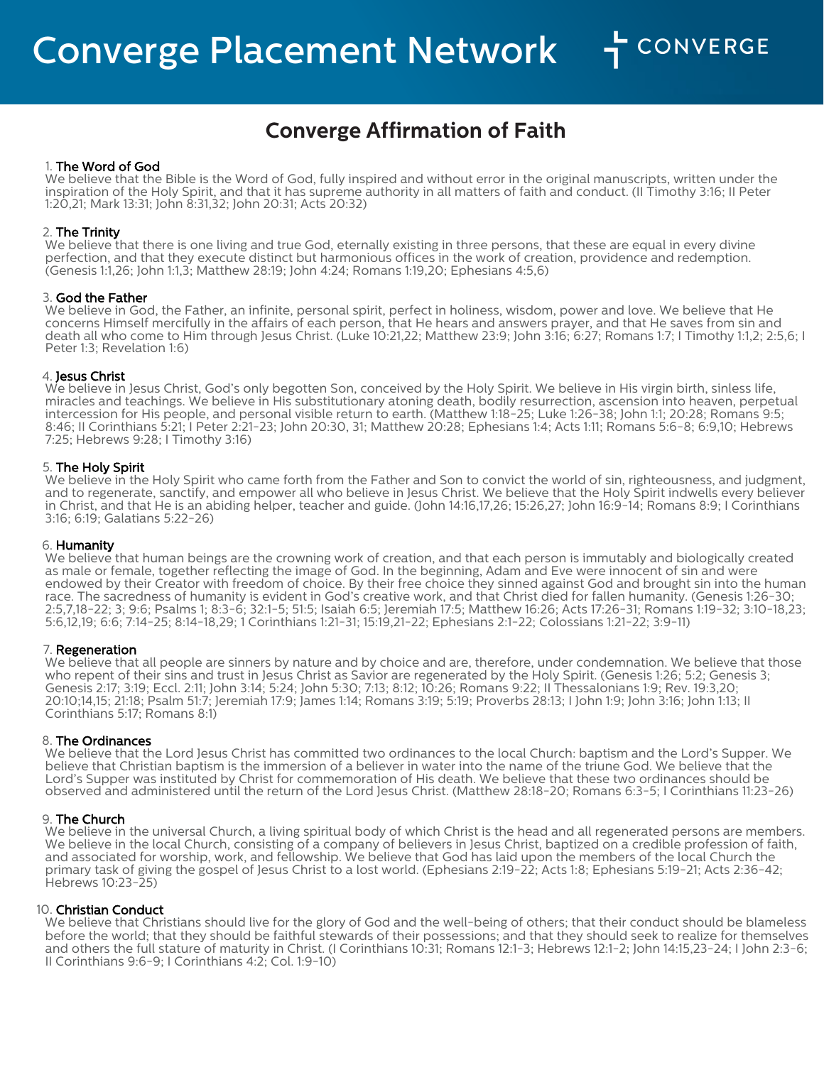# **Converge Affirmation of Faith**

## 1. The Word of God

We believe that the Bible is the Word of God, fully inspired and without error in the original manuscripts, written under the inspiration of the Holy Spirit, and that it has supreme authority in all matters of faith and conduct. (II Timothy 3:16; II Peter 1:20,21; Mark 13:31; John 8:31,32; John 20:31; Acts 20:32)

## 2. The Trinity

We believe that there is one living and true God, eternally existing in three persons, that these are equal in every divine perfection, and that they execute distinct but harmonious offices in the work of creation, providence and redemption. (Genesis 1:1,26; John 1:1,3; Matthew 28:19; John 4:24; Romans 1:19,20; Ephesians 4:5,6)

#### 3. God the Father

We believe in God, the Father, an infinite, personal spirit, perfect in holiness, wisdom, power and love. We believe that He concerns Himself mercifully in the affairs of each person, that He hears and answers prayer, and that He saves from sin and death all who come to Him through Jesus Christ. (Luke 10:21,22; Matthew 23:9; John 3:16; 6:27; Romans 1:7; I Timothy 1:1,2; 2:5,6; I Peter 1:3; Revelation 1:6)

## 4. Jesus Christ

We believe in Jesus Christ, God's only begotten Son, conceived by the Holy Spirit. We believe in His virgin birth, sinless life, miracles and teachings. We believe in His substitutionary atoning death, bodily resurrection, ascension into heaven, perpetual intercession for His people, and personal visible return to earth. (Matthew 1:18-25; Luke 1:26-38; John 1:1; 20:28; Romans 9:5; 8:46; II Corinthians 5:21; I Peter 2:21-23; John 20:30, 31; Matthew 20:28; Ephesians 1:4; Acts 1:11; Romans 5:6-8; 6:9,10; Hebrews 7:25; Hebrews 9:28; I Timothy 3:16)

## 5. The Holy Spirit

We believe in the Holy Spirit who came forth from the Father and Son to convict the world of sin, righteousness, and judgment, and to regenerate, sanctify, and empower all who believe in Jesus Christ. We believe that the Holy Spirit indwells every believer in Christ, and that He is an abiding helper, teacher and guide. (John 14:16,17,26; 15:26,27; John 16:9-14; Romans 8:9; I Corinthians 3:16; 6:19; Galatians 5:22-26)

#### 6. Humanity

We believe that human beings are the crowning work of creation, and that each person is immutably and biologically created as male or female, together reflecting the image of God. In the beginning, Adam and Eve were innocent of sin and were endowed by their Creator with freedom of choice. By their free choice they sinned against God and brought sin into the human race. The sacredness of humanity is evident in God's creative work, and that Christ died for fallen humanity. (Genesis 1:26-30; 2:5,7,18-22; 3; 9:6; Psalms 1; 8:3-6; 32:1-5; 51:5; Isaiah 6:5; Jeremiah 17:5; Matthew 16:26; Acts 17:26-31; Romans 1:19-32; 3:10-18,23; 5:6,12,19; 6:6; 7:14-25; 8:14-18,29; 1 Corinthians 1:21-31; 15:19,21-22; Ephesians 2:1-22; Colossians 1:21-22; 3:9-11)

#### 7. Regeneration

We believe that all people are sinners by nature and by choice and are, therefore, under condemnation. We believe that those who repent of their sins and trust in Jesus Christ as Savior are regenerated by the Holy Spirit. (Genesis 1:26; 5:2; Genesis 3; Genesis 2:17; 3:19; Eccl. 2:11; John 3:14; 5:24; John 5:30; 7:13; 8:12; 10:26; Romans 9:22; II Thessalonians 1:9; Rev. 19:3,20; 20:10;14,15; 21:18; Psalm 51:7; Jeremiah 17:9; James 1:14; Romans 3:19; 5:19; Proverbs 28:13; I John 1:9; John 3:16; John 1:13; II Corinthians 5:17; Romans 8:1)

# 8. The Ordinances

We believe that the Lord Jesus Christ has committed two ordinances to the local Church: baptism and the Lord's Supper. We believe that Christian baptism is the immersion of a believer in water into the name of the triune God. We believe that the Lord's Supper was instituted by Christ for commemoration of His death. We believe that these two ordinances should be observed and administered until the return of the Lord Jesus Christ. (Matthew 28:18-20; Romans 6:3-5; I Corinthians 11:23-26)

# 9. The Church

We believe in the universal Church, a living spiritual body of which Christ is the head and all regenerated persons are members. We believe in the local Church, consisting of a company of believers in Jesus Christ, baptized on a credible profession of faith, and associated for worship, work, and fellowship. We believe that God has laid upon the members of the local Church the primary task of giving the gospel of Jesus Christ to a lost world. (Ephesians 2:19-22; Acts 1:8; Ephesians 5:19-21; Acts 2:36-42; Hebrews 10:23-25)

# 10. Christian Conduct

We believe that Christians should live for the glory of God and the well-being of others; that their conduct should be blameless before the world; that they should be faithful stewards of their possessions; and that they should seek to realize for themselves and others the full stature of maturity in Christ. (I Corinthians 10:31; Romans 12:1-3; Hebrews 12:1-2; John 14:15,23-24; I John 2:3-6; II Corinthians 9:6-9; I Corinthians 4:2; Col. 1:9-10)